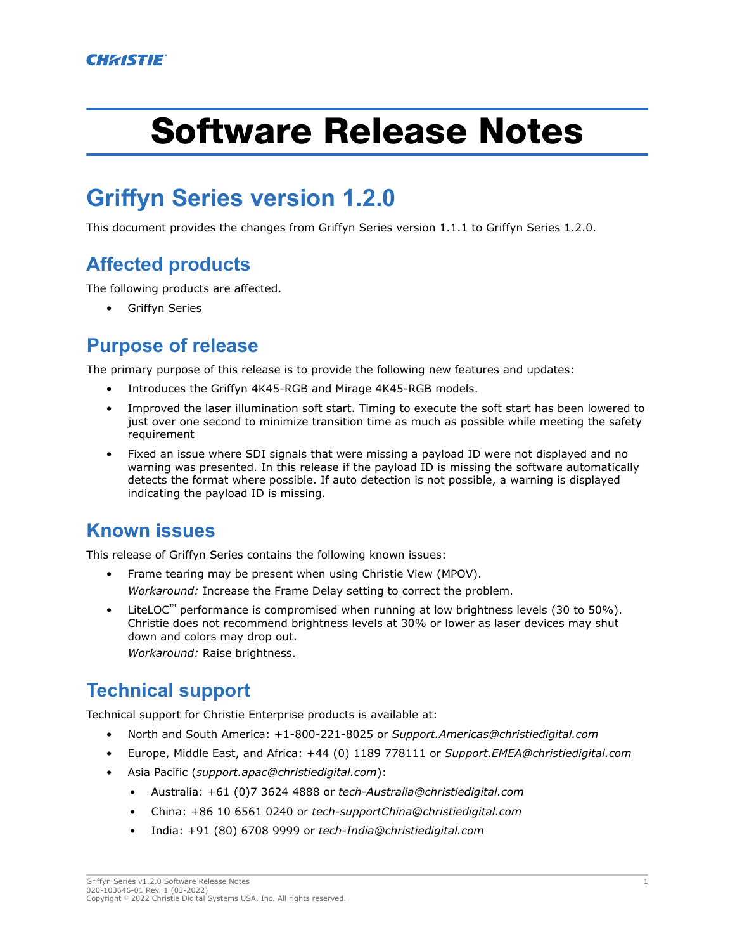# Software Release Notes

# **Griffyn Series version 1.2.0**

This document provides the changes from Griffyn Series version 1.1.1 to Griffyn Series 1.2.0.

## **Affected products**

The following products are affected.

Griffyn Series

#### **Purpose of release**

The primary purpose of this release is to provide the following new features and updates:

- Introduces the Griffyn 4K45-RGB and Mirage 4K45-RGB models.
- Improved the laser illumination soft start. Timing to execute the soft start has been lowered to just over one second to minimize transition time as much as possible while meeting the safety requirement
- Fixed an issue where SDI signals that were missing a payload ID were not displayed and no warning was presented. In this release if the payload ID is missing the software automatically detects the format where possible. If auto detection is not possible, a warning is displayed indicating the payload ID is missing.

#### **Known issues**

This release of Griffyn Series contains the following known issues:

- Frame tearing may be present when using Christie View (MPOV). *Workaround:* Increase the Frame Delay setting to correct the problem.
- LiteLOC<sup>™</sup> performance is compromised when running at low brightness levels (30 to 50%). Christie does not recommend brightness levels at 30% or lower as laser devices may shut down and colors may drop out.

*Workaround:* Raise brightness.

### **Technical support**

Technical support for Christie Enterprise products is available at:

- North and South America: +1-800-221-8025 or *[Support.Americas@christiedigital.com](mailto:Support.Americas@christiedigital.com)*
- Europe, Middle East, and Africa: +44 (0) 1189 778111 or *[Support.EMEA@christiedigital.com](mailto:Support.EMEA@christiedigital.com)*
- Asia Pacific (*[support.apac@christiedigital.com](mailto:support.apac@christiedigital.com)*):
	- Australia: +61 (0)7 3624 4888 or *[tech-Australia@christiedigital.com](mailto:tech-Australia@christiedigital.com)*
	- China: +86 10 6561 0240 or *[tech-supportChina@christiedigital.com](mailto:tech-supportChina@christiedigital.com)*
	- India: +91 (80) 6708 9999 or *[tech-India@christiedigital.com](mailto:tech-India@christiedigital.com)*